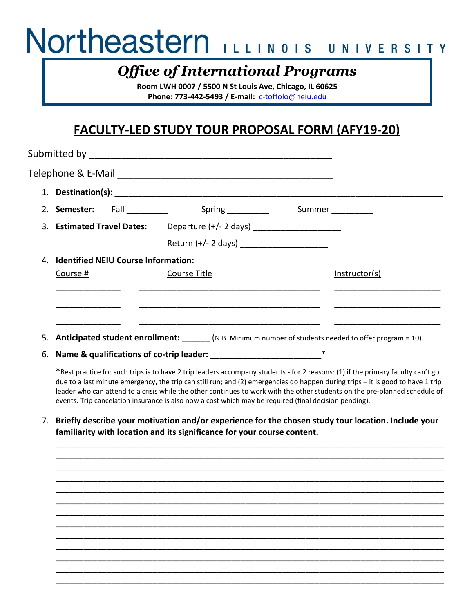# Northeastern ILLINOIS UNIVERSITY

## *Office of International Programs*

**Room LWH 0007 / 5500 N St Louis Ave, Chicago, IL 60625 Phone: 773-442-5493 / E-mail:** [c-toffolo@neiu.edu](mailto:c-toffolo@neiu.edu)

### **FACULTY-LED STUDY TOUR PROPOSAL FORM (AFY19-20)**

|                                        | 2. Semester: Fall 1.1 Spring 1.1 Spring 1.1 Summer                                                        |  |               |
|----------------------------------------|-----------------------------------------------------------------------------------------------------------|--|---------------|
|                                        | 3. Estimated Travel Dates: Departure (+/- 2 days) _______________________                                 |  |               |
|                                        |                                                                                                           |  |               |
| 4. Identified NEIU Course Information: |                                                                                                           |  |               |
| Course #                               | Course Title                                                                                              |  | Instructor(s) |
|                                        |                                                                                                           |  |               |
|                                        |                                                                                                           |  |               |
|                                        | 5. <b>Anticipated student enrollment:</b> (N.B. Minimum number of students needed to offer program = 10). |  |               |
|                                        |                                                                                                           |  |               |
|                                        | 6. Name & qualifications of co-trip leader:                                                               |  |               |

**\***Best practice for such trips is to have 2 trip leaders accompany students - for 2 reasons: (1) if the primary faculty can't go due to a last minute emergency, the trip can still run; and (2) emergencies do happen during trips – it is good to have 1 trip leader who can attend to a crisis while the other continues to work with the other students on the pre-planned schedule of events. Trip cancelation insurance is also now a cost which may be required (final decision pending).

7. **Briefly describe your motivation and/or experience for the chosen study tour location. Include your familiarity with location and its significance for your course content.**

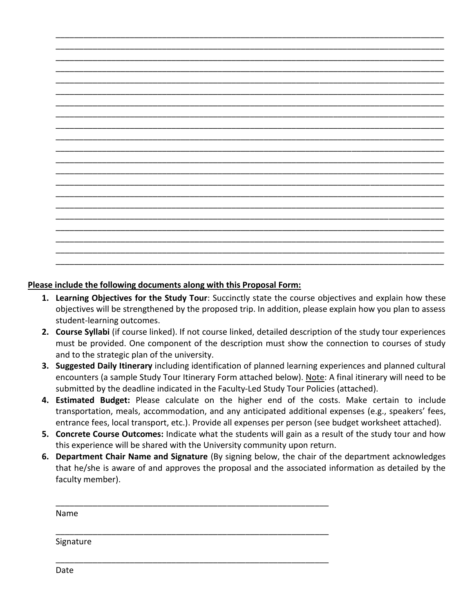#### **Please include the following documents along with this Proposal Form:**

- **1. Learning Objectives for the Study Tour**: Succinctly state the course objectives and explain how these objectives will be strengthened by the proposed trip. In addition, please explain how you plan to assess student-learning outcomes.
- **2. Course Syllabi** (if course linked). If not course linked, detailed description of the study tour experiences must be provided. One component of the description must show the connection to courses of study and to the strategic plan of the university.
- **3. Suggested Daily Itinerary** including identification of planned learning experiences and planned cultural encounters (a sample Study Tour Itinerary Form attached below). Note: A final itinerary will need to be submitted by the deadline indicated in the Faculty-Led Study Tour Policies (attached).
- **4. Estimated Budget:** Please calculate on the higher end of the costs. Make certain to include transportation, meals, accommodation, and any anticipated additional expenses (e.g., speakers' fees, entrance fees, local transport, etc.). Provide all expenses per person (see budget worksheet attached).
- **5. Concrete Course Outcomes:** Indicate what the students will gain as a result of the study tour and how this experience will be shared with the University community upon return.
- **6. Department Chair Name and Signature** (By signing below, the chair of the department acknowledges that he/she is aware of and approves the proposal and the associated information as detailed by the faculty member).

\_\_\_\_\_\_\_\_\_\_\_\_\_\_\_\_\_\_\_\_\_\_\_\_\_\_\_\_\_\_\_\_\_\_\_\_\_\_\_\_\_\_\_\_\_\_\_\_\_\_\_\_\_\_\_\_\_\_\_

\_\_\_\_\_\_\_\_\_\_\_\_\_\_\_\_\_\_\_\_\_\_\_\_\_\_\_\_\_\_\_\_\_\_\_\_\_\_\_\_\_\_\_\_\_\_\_\_\_\_\_\_\_\_\_\_\_\_\_

\_\_\_\_\_\_\_\_\_\_\_\_\_\_\_\_\_\_\_\_\_\_\_\_\_\_\_\_\_\_\_\_\_\_\_\_\_\_\_\_\_\_\_\_\_\_\_\_\_\_\_\_\_\_\_\_\_\_\_

Name

Signature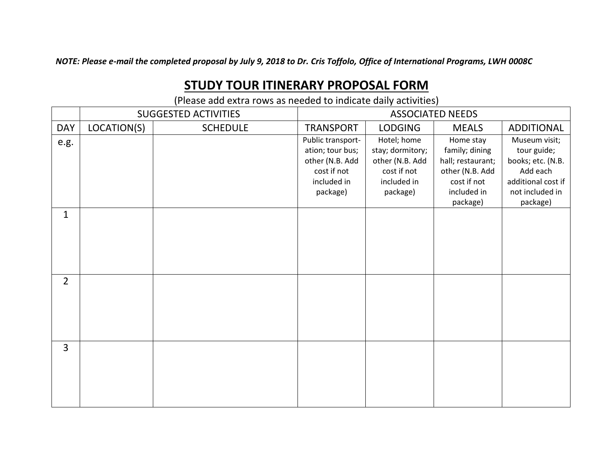*NOTE: Please e-mail the completed proposal by July 9, 2018 to Dr. Cris Toffolo, Office of International Programs, LWH 0008C*

### **STUDY TOUR ITINERARY PROPOSAL FORM**

(Please add extra rows as needed to indicate daily activities)

|                | <b>SUGGESTED ACTIVITIES</b> |                 | <b>ASSOCIATED NEEDS</b> |                  |                   |                    |
|----------------|-----------------------------|-----------------|-------------------------|------------------|-------------------|--------------------|
| <b>DAY</b>     | LOCATION(S)                 | <b>SCHEDULE</b> | <b>TRANSPORT</b>        | <b>LODGING</b>   | <b>MEALS</b>      | <b>ADDITIONAL</b>  |
| e.g.           |                             |                 | Public transport-       | Hotel; home      | Home stay         | Museum visit;      |
|                |                             |                 | ation; tour bus;        | stay; dormitory; | family; dining    | tour guide;        |
|                |                             |                 | other (N.B. Add         | other (N.B. Add  | hall; restaurant; | books; etc. (N.B.  |
|                |                             |                 | cost if not             | cost if not      | other (N.B. Add   | Add each           |
|                |                             |                 | included in             | included in      | cost if not       | additional cost if |
|                |                             |                 | package)                | package)         | included in       | not included in    |
|                |                             |                 |                         |                  | package)          | package)           |
| $\mathbf{1}$   |                             |                 |                         |                  |                   |                    |
|                |                             |                 |                         |                  |                   |                    |
|                |                             |                 |                         |                  |                   |                    |
|                |                             |                 |                         |                  |                   |                    |
|                |                             |                 |                         |                  |                   |                    |
|                |                             |                 |                         |                  |                   |                    |
| $\overline{2}$ |                             |                 |                         |                  |                   |                    |
|                |                             |                 |                         |                  |                   |                    |
|                |                             |                 |                         |                  |                   |                    |
|                |                             |                 |                         |                  |                   |                    |
|                |                             |                 |                         |                  |                   |                    |
|                |                             |                 |                         |                  |                   |                    |
| $\overline{3}$ |                             |                 |                         |                  |                   |                    |
|                |                             |                 |                         |                  |                   |                    |
|                |                             |                 |                         |                  |                   |                    |
|                |                             |                 |                         |                  |                   |                    |
|                |                             |                 |                         |                  |                   |                    |
|                |                             |                 |                         |                  |                   |                    |